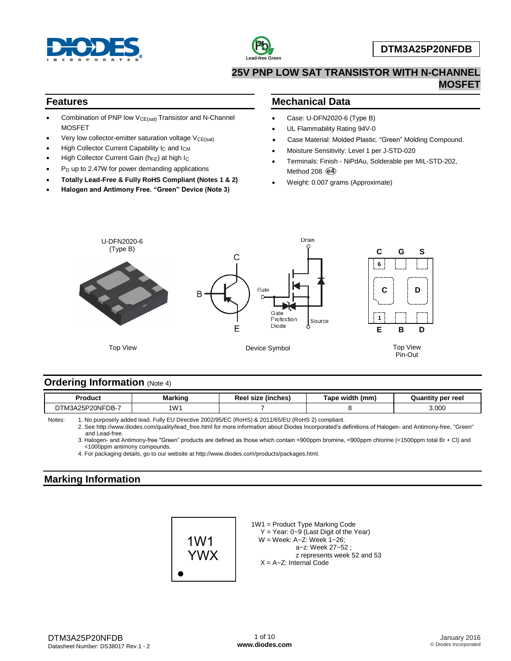



## **25V PNP LOW SAT TRANSISTOR WITH N-CHANNEL MOSFET**

### **Features**

- Combination of PNP low  $V_{CE(sat)}$  Transistor and N-Channel **MOSFET**
- Very low collector-emitter saturation voltage  $V_{CE(sat)}$
- High Collector Current Capability I<sub>C</sub> and I<sub>CM</sub>
- High Collector Current Gain ( $h_{FE}$ ) at high  $I_C$
- P<sub>D</sub> up to 2.47W for power demanding applications
- **Totally Lead-Free & Fully RoHS Compliant (Notes 1 & 2)**
- **Halogen and Antimony Free. "Green" Device (Note 3)**

## **Mechanical Data**

- Case: U-DFN2020-6 (Type B)
- UL Flammability Rating 94V-0
- Case Material: Molded Plastic. "Green" Molding Compound.
- Moisture Sensitivity: Level 1 per J-STD-020
- Terminals: Finish NiPdAu, Solderable per MIL-STD-202, Method 208 **e4**
- Weight: 0.007 grams (Approximate)



## **Ordering Information (Note 4)**

| Product                     | Markino | (inches)<br>size | width<br>(mm.<br><b>Tape</b> | ≀ per reel<br>Quantity |
|-----------------------------|---------|------------------|------------------------------|------------------------|
| DB-.<br>PONE<br>W.<br>.75F. | 1W'     |                  |                              | ,000                   |

Notes: 1. No purposely added lead. Fully EU Directive 2002/95/EC (RoHS) & 2011/65/EU (RoHS 2) compliant.

2. See http://www.diodes.com/quality/lead\_free.html for more information about Diodes Incorporated's definitions of Halogen- and Antimony-free, "Green" and Lead-free.

3. Halogen- and Antimony-free "Green" products are defined as those which contain <900ppm bromine, <900ppm chlorine (<1500ppm total Br + Cl) and <1000ppm antimony compounds.

4. For packaging details, go to our website at http://www.diodes.com/products/packages.html.

## **Marking Information**



1W1 = Product Type Marking Code Y = Year: 0~9 (Last Digit of the Year) W = Week: A~Z: Week 1~26; a~z: Week 27~52 ; z represents week 52 and 53 X = A~Z: Internal Code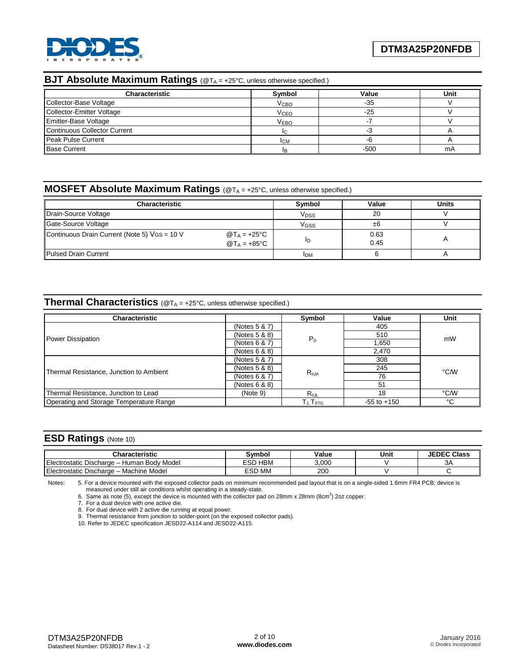

# **BJT Absolute Maximum Ratings** (@T<sub>A = +25°C, unless otherwise specified.)</sub>

| <b>Characteristic</b>               | Symbol                 | Value  | Unit |
|-------------------------------------|------------------------|--------|------|
| Collector-Base Voltage              | V <sub>CBO</sub>       | $-35$  |      |
| Collector-Emitter Voltage           | <b>V<sub>CEO</sub></b> | $-25$  |      |
| <b>Emitter-Base Voltage</b>         | <b>VEBO</b>            |        |      |
| <b>Continuous Collector Current</b> |                        |        |      |
| Peak Pulse Current                  | <b>ICM</b>             |        |      |
| <b>Base Current</b>                 |                        | $-500$ | mA   |

## **MOSFET Absolute Maximum Ratings** (@TA = +25°C, unless otherwise specified.)

| <b>Characteristic</b>                                                                              | Symbol                 | Value        | <b>Units</b> |
|----------------------------------------------------------------------------------------------------|------------------------|--------------|--------------|
| Drain-Source Voltage                                                                               | <b>V<sub>DSS</sub></b> | 20           |              |
| Gate-Source Voltage                                                                                | VGSS                   | ±б           |              |
| Continuous Drain Current (Note 5) VGS = 10 V<br>@T <sub>A</sub> = +25°C<br>@T <sub>A</sub> = +85°C | םי                     | 0.63<br>0.45 |              |
| Pulsed Drain Current                                                                               | <b>IDM</b>             |              |              |

## **Thermal Characteristics** (@T<sup>A</sup> = +25°C, unless otherwise specified.)

| <b>Characteristic</b>                   |               | Symbol                                                   | Value           | Unit |  |
|-----------------------------------------|---------------|----------------------------------------------------------|-----------------|------|--|
|                                         | (Notes 5 & 7) |                                                          | 405             |      |  |
|                                         | (Notes 5 & 8) |                                                          | 510             | mW   |  |
| Power Dissipation                       | (Notes 6 & 7) | $P_D$                                                    | 1,650           |      |  |
|                                         | (Notes 6 & 8) |                                                          | 2.470           |      |  |
|                                         | (Notes 5 & 7) |                                                          | 308             |      |  |
| Thermal Resistance, Junction to Ambient | (Notes 5 & 8) |                                                          | 245             | °C/W |  |
|                                         | (Notes 6 & 7) | $R_{\theta JA}$                                          | 76              |      |  |
|                                         | (Notes 6 & 8) |                                                          | 51              |      |  |
| Thermal Resistance, Junction to Lead    | (Note 9)      | $R_{\theta JL}$                                          | 18              | °C/W |  |
| Operating and Storage Temperature Range |               | ${\mathsf T}_{\mathsf J}$ . ${\mathsf T}_{\texttt{STG}}$ | $-55$ to $+150$ | °C   |  |

### **ESD Ratings** (Note 10)

| <b>Characteristic</b>                                         | Svmbol            | Value | Unit | <b>JEDEC Class</b> |
|---------------------------------------------------------------|-------------------|-------|------|--------------------|
| Electrostatic Discharge -<br><b>Body Model</b><br>Human       | <b>HBM</b><br>ESD | 3.000 |      | ЗΑ                 |
| -<br>$\sim$<br>Machine Model<br>l Electrostatic Discharge – ' | ESD MM            | 200   |      |                    |

Notes: 5. For a device mounted with the exposed collector pads on minimum recommended pad layout that is on a single-sided 1.6mm FR4 PCB; device is measured under still air conditions whilst operating in a steady-state.<br>6. Same as note (5), except the device is mounted with the collector pad on 28mm x 28mm (8cm<sup>2</sup>) 2oz copper.

7. For a dual device with one active die.

8. For dual device with 2 active die running at equal power.

9. Thermal resistance from junction to solder-point (on the exposed collector pads).

10. Refer to JEDEC specification JESD22-A114 and JESD22-A115.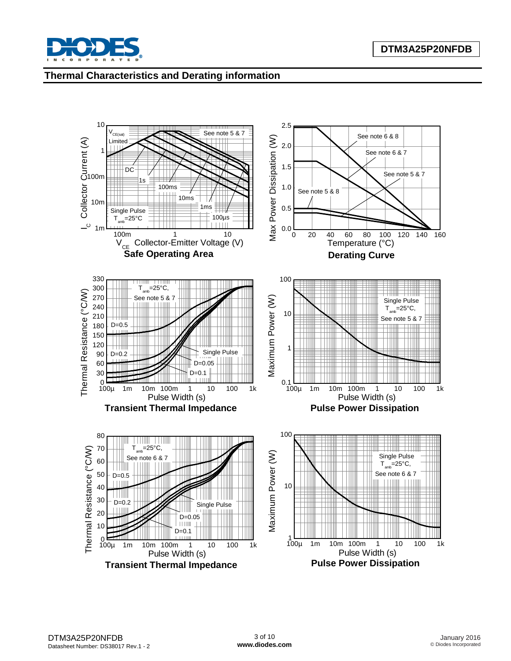

## **Thermal Characteristics and Derating information**

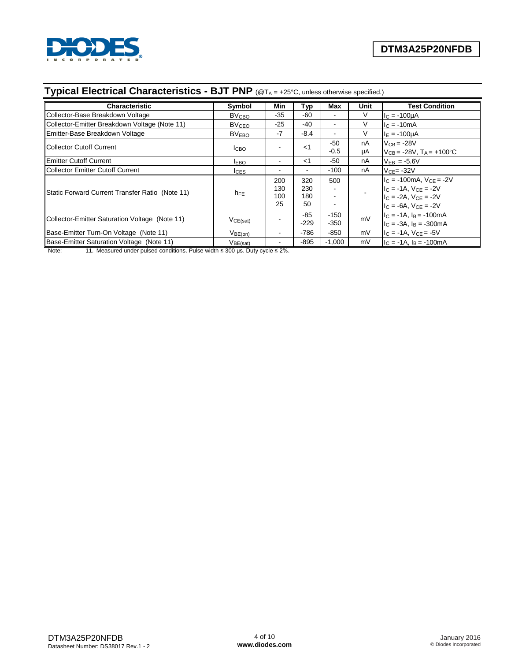

# **Typical Electrical Characteristics - BJT PNP** (@TA = +25°C, unless otherwise specified.)

| <b>Characteristic</b>                           | Symbol                  | Min            | Typ    | Max    | Unit | <b>Test Condition</b>                   |
|-------------------------------------------------|-------------------------|----------------|--------|--------|------|-----------------------------------------|
| Collector-Base Breakdown Voltage                | <b>BV<sub>CBO</sub></b> | -35            | $-60$  |        | V    | $I_C = -100 \mu A$                      |
| Collector-Emitter Breakdown Voltage (Note 11)   | <b>BV<sub>CEO</sub></b> | -25            | -40    |        |      | $I_C = -10mA$                           |
| Emitter-Base Breakdown Voltage                  | <b>BVEBO</b>            | $-7$           | $-8.4$ | $\sim$ | V    | $I_E = -100 \mu A$                      |
| Collector Cutoff Current                        |                         |                | $<$ 1  | -50    | nA   | $V_{CB} = -28V$                         |
|                                                 | I <sub>CBO</sub>        |                |        | $-0.5$ | μA   | $V_{CB} = -28V$ , $T_A = +100^{\circ}C$ |
| <b>Emitter Cutoff Current</b>                   | <b>IEBO</b>             | $\blacksquare$ | $<$ 1  | -50    | nA   | $V_{EB} = -5.6V$                        |
| Collector Emitter Cutoff Current                | <b>ICES</b>             | $\blacksquare$ | ۰      | $-100$ | nA   | $VCF = -32V$                            |
|                                                 |                         | 200            | 320    | 500    |      | $IC$ = -100mA, $VCF$ = -2V              |
| Static Forward Current Transfer Ratio (Note 11) |                         | 130            | 230    |        |      | $I_C = -1A, V_{CE} = -2V$               |
|                                                 | $h_{FE}$                | 100            | 180    |        |      | $I_C = -2A$ , $V_{CE} = -2V$            |
|                                                 |                         | 25             | 50     |        |      | $I_C = -6A$ , $V_{CF} = -2V$            |
| Collector-Emitter Saturation Voltage (Note 11)  |                         |                | $-85$  | $-150$ | mV   | $IC = -1A$ , $IB = -100mA$              |
|                                                 | VCE(sat)                |                | $-229$ | $-350$ |      | $I_C = -3A$ , $I_B = -300mA$            |
| Base-Emitter Turn-On Voltage (Note 11)          | $V_{BE(on)}$            | ۰              | $-786$ | $-850$ | mV   | $IC = -1A$ , $VCE = -5V$                |
| Base-Emitter Saturation Voltage (Note 11)       | V <sub>BE(sat)</sub>    | $\blacksquare$ | $-895$ | -1.000 | mV   | $Ic = -1A$ . I $B = -100$ mA            |

Note: 11. Measured under pulsed conditions. Pulse width ≤ 300 µs. Duty cycle ≤ 2%.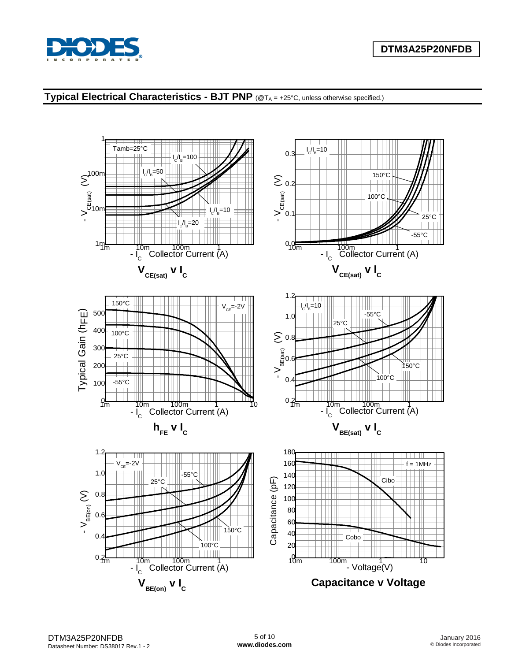



# **Typical Electrical Characteristics - BJT PNP** (@T<sup>A</sup> = +25°C, unless otherwise specified.)

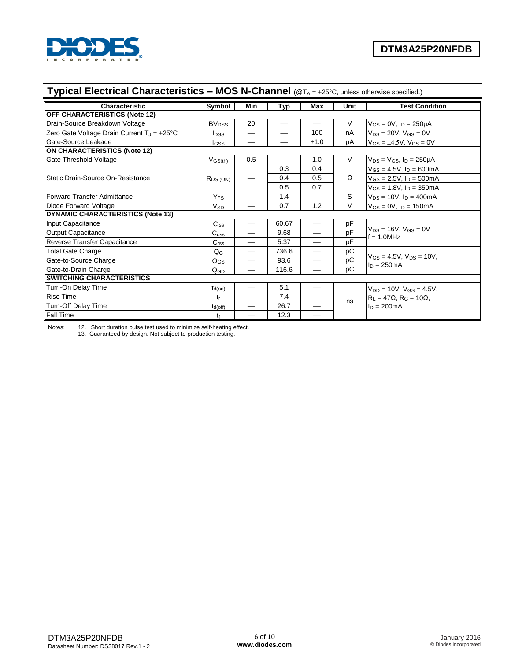

| Typical Electrical Characteristics - MOS N-Channel (@TA = +25°C, unless otherwise specified.) |                         |                          |                          |                   |        |                                                    |
|-----------------------------------------------------------------------------------------------|-------------------------|--------------------------|--------------------------|-------------------|--------|----------------------------------------------------|
| Characteristic                                                                                | Symbol                  | Min                      | Typ                      | Max               | Unit   | <b>Test Condition</b>                              |
| <b>OFF CHARACTERISTICS (Note 12)</b>                                                          |                         |                          |                          |                   |        |                                                    |
| Drain-Source Breakdown Voltage                                                                | <b>BV<sub>DSS</sub></b> | 20                       | $\hspace{0.05cm}$        |                   | $\vee$ | $V_{GS} = 0V$ , $I_D = 250 \mu A$                  |
| Zero Gate Voltage Drain Current $T_J = +25^{\circ}C$                                          | <b>I</b> pss            |                          | $\overline{\phantom{0}}$ | 100               | nA     | $V_{DS} = 20V$ , $V_{GS} = 0V$                     |
| Gate-Source Leakage                                                                           | l <sub>GSS</sub>        |                          |                          | ±1.0              | μA     | $V_{GS} = \pm 4.5V$ , $V_{DS} = 0V$                |
| <b>ON CHARACTERISTICS (Note 12)</b>                                                           |                         |                          |                          |                   |        |                                                    |
| Gate Threshold Voltage                                                                        | $V_{GS(th)}$            | 0.5                      | $\overline{\phantom{0}}$ | 1.0               | $\vee$ | $V_{DS} = V_{GS}$ , $I_D = 250 \mu A$              |
|                                                                                               |                         |                          | 0.3                      | 0.4               |        | $V_{GS} = 4.5V$ , $I_D = 600mA$                    |
| Static Drain-Source On-Resistance                                                             | $R_{DS(ON)}$            |                          | 0.4                      | 0.5               | Ω      | $V_{GS} = 2.5V$ , $I_D = 500mA$                    |
|                                                                                               |                         |                          | 0.5                      | 0.7               |        | $V_{GS} = 1.8V$ , $I_D = 350mA$                    |
| Forward Transfer Admittance                                                                   | Y <sub>FS</sub>         |                          | 1.4                      |                   | S      | $V_{DS} = 10V$ , $I_D = 400mA$                     |
| Diode Forward Voltage                                                                         | V <sub>SD</sub>         | $\overline{\phantom{0}}$ | 0.7                      | 1.2               | $\vee$ | $V_{GS} = 0V$ , $I_D = 150mA$                      |
| <b>DYNAMIC CHARACTERISTICS (Note 13)</b>                                                      |                         |                          |                          |                   |        |                                                    |
| Input Capacitance                                                                             | $C_{iss}$               | $\overline{\phantom{m}}$ | 60.67                    |                   | pF     |                                                    |
| <b>Output Capacitance</b>                                                                     | $\mathrm{C_{oss}}$      |                          | 9.68                     |                   | pF     | $V_{DS} = 16V$ , $V_{GS} = 0V$<br>$= 1.0$ MHz      |
| Reverse Transfer Capacitance                                                                  | C <sub>rss</sub>        |                          | 5.37                     |                   | pF     |                                                    |
| Total Gate Charge                                                                             | $Q_{\rm G}$             | $\overline{\phantom{m}}$ | 736.6                    | $\hspace{0.05cm}$ | рC     |                                                    |
| Gate-to-Source Charge                                                                         | $Q_{GS}$                |                          | 93.6                     |                   | pC     | $V_{GS} = 4.5V$ , $V_{DS} = 10V$ ,<br>$ln = 250mA$ |
| Gate-to-Drain Charge                                                                          | QGD                     |                          | 116.6                    |                   | pC     |                                                    |
| <b>SWITCHING CHARACTERISTICS</b>                                                              |                         |                          |                          |                   |        |                                                    |
| Turn-On Delay Time                                                                            | $t_{d(on)}$             | $\overline{\phantom{0}}$ | 5.1                      |                   |        | $V_{DD} = 10V$ , $V_{GS} = 4.5V$ ,                 |
| <b>Rise Time</b>                                                                              | tr                      |                          | 7.4                      |                   |        | $R_L = 47\Omega$ , $R_G = 10\Omega$ ,              |
| Turn-Off Delay Time                                                                           | $t_{d(off)}$            | $\qquad \qquad$          | 26.7                     |                   | ns     | $ln = 200mA$                                       |
| <b>Fall Time</b>                                                                              | tŧ                      |                          | 12.3                     |                   |        |                                                    |

Notes: 12. Short duration pulse test used to minimize self-heating effect.

13. Guaranteed by design. Not subject to production testing.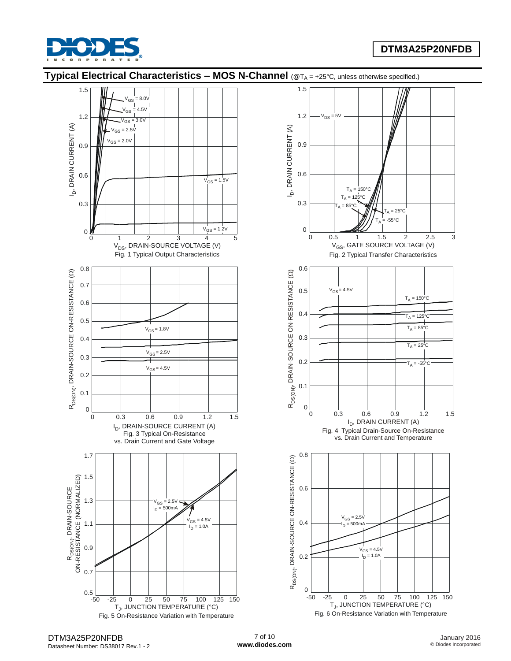

## **DTM3A25P20NFDB**

# **Typical Electrical Characteristics – MOS N-Channel** (@T<sup>A</sup> = +25°C, unless otherwise specified.)





Fig. 6 On-Resistance Variation with Temperature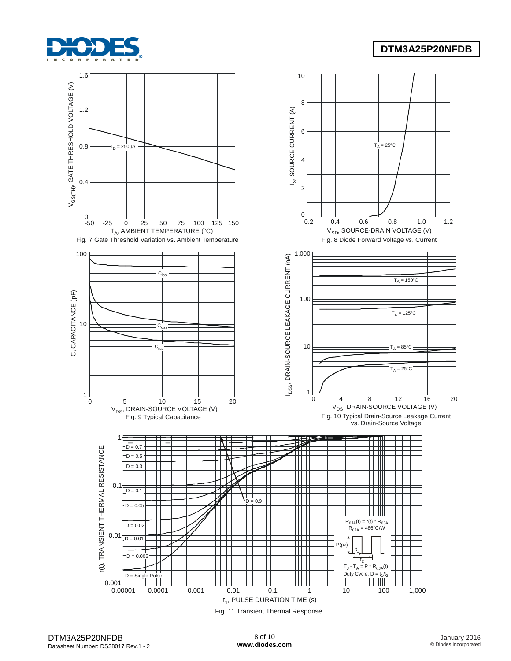

## **DTM3A25P20NFDB**

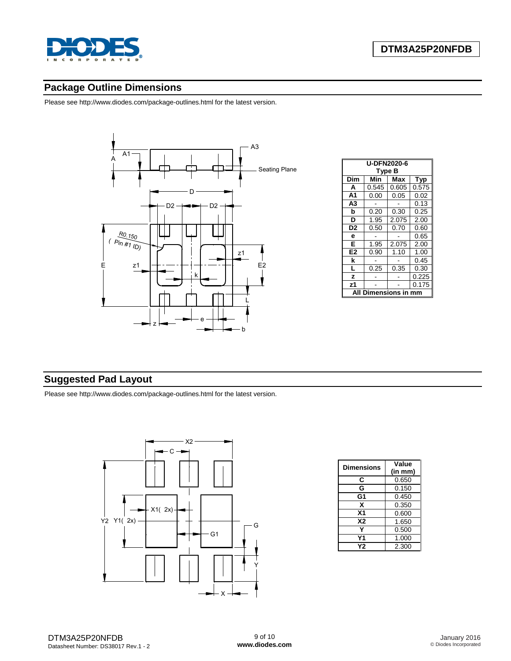

## **Package Outline Dimensions**

Please see http://www.diodes.com/package-outlines.html for the latest version.



| <b>U-DFN2020-6</b> |       |       |       |  |  |  |
|--------------------|-------|-------|-------|--|--|--|
| Type B             |       |       |       |  |  |  |
| Dim                | Min   | Max   | Typ   |  |  |  |
| A                  | 0.545 | 0.605 | 0.575 |  |  |  |
| A <sub>1</sub>     | 0.00  | 0.05  | 0.02  |  |  |  |
| A3                 |       |       | 0.13  |  |  |  |
| b                  | 0.20  | 0.30  | 0.25  |  |  |  |
| D                  | 1.95  | 2.075 | 2.00  |  |  |  |
| D <sub>2</sub>     | 0.50  | 0.70  | 0.60  |  |  |  |
| е                  |       |       | 0.65  |  |  |  |
| Е                  | 1.95  | 2.075 | 2.00  |  |  |  |
| E <sub>2</sub>     | 0.90  | 1.10  | 1.00  |  |  |  |
| k                  |       |       | 0.45  |  |  |  |
| L                  | 0.25  | 0.35  | 0.30  |  |  |  |
| z                  |       |       | 0.225 |  |  |  |
| z1                 |       |       | 0.175 |  |  |  |
| nensions<br>Δ      |       |       |       |  |  |  |

# **Suggested Pad Layout**

Please see http://www.diodes.com/package-outlines.html for the latest version.



| <b>Dimensions</b> | Value<br>(in mm) |
|-------------------|------------------|
| С                 | 0.650            |
| G                 | 0.150            |
| G1                | 0.450            |
| x                 | 0.350            |
| X <sub>1</sub>    | 0.600            |
| <b>X2</b>         | 1.650            |
|                   | 0.500            |
| Υ1                | 1.000            |
| Υ2                | 2.300            |